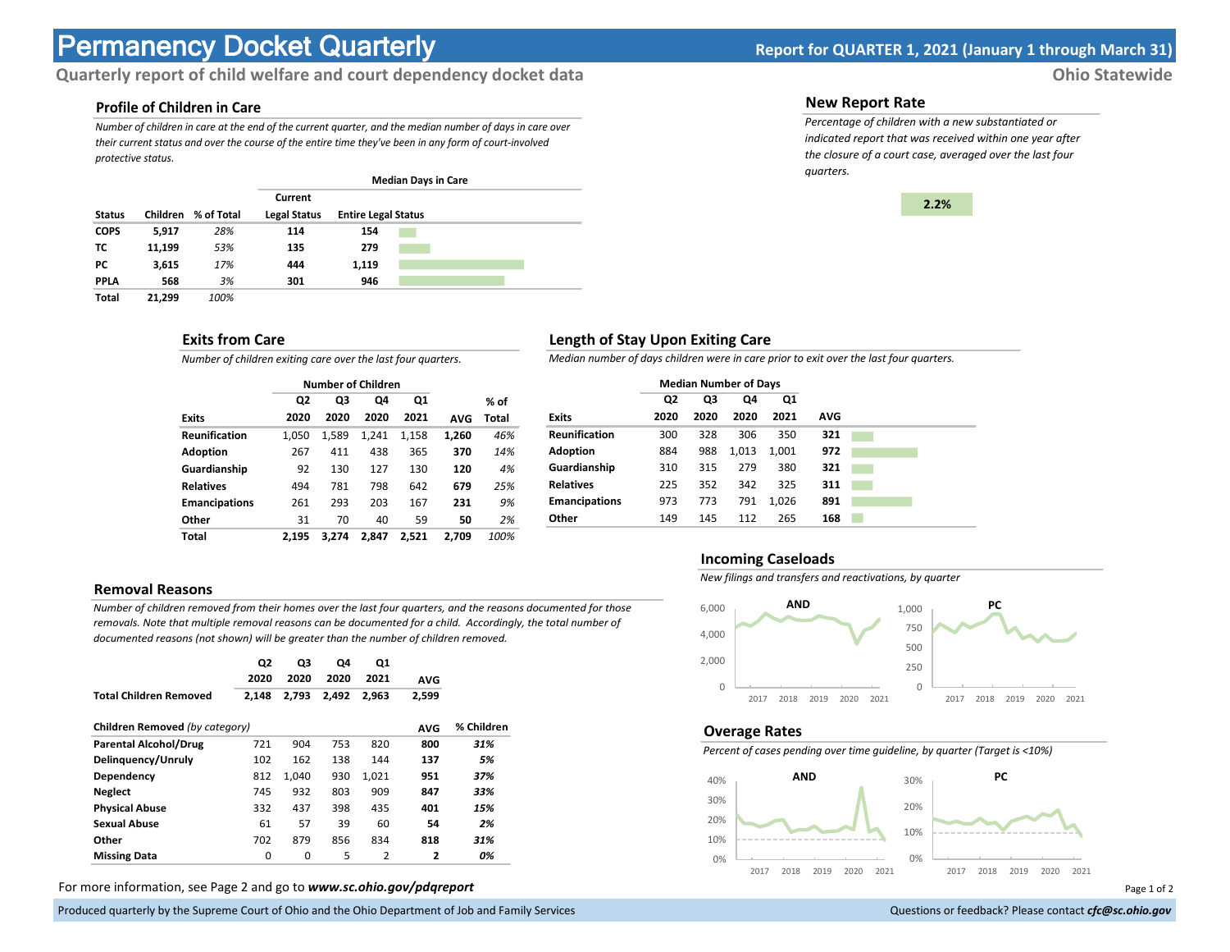# **Permanency Docket Quarterly Report for QUARTER 1, 2021 (January 1 through March 31)**

# **Quarterly report of child welfare and court dependency docket data Ohio Statewide**

# **Profile of Children in Care**

*Number of children in care at the end of the current quarter, and the median number of days in care over their current status and over the course of the entire time they've been in any form of court-involved protective status.*

|               |          |            | <b>Median Days in Care</b> |                            |  |  |  |  |
|---------------|----------|------------|----------------------------|----------------------------|--|--|--|--|
|               |          |            | Current                    |                            |  |  |  |  |
| <b>Status</b> | Children | % of Total | <b>Legal Status</b>        | <b>Entire Legal Status</b> |  |  |  |  |
| <b>COPS</b>   | 5,917    | 28%        | 114                        | 154                        |  |  |  |  |
| ТC            | 11,199   | 53%        | 135                        | 279                        |  |  |  |  |
| РC            | 3,615    | 17%        | 444                        | 1,119                      |  |  |  |  |
| <b>PPLA</b>   | 568      | 3%         | 301                        | 946                        |  |  |  |  |
| Total         | 21,299   | 100%       |                            |                            |  |  |  |  |

#### **Exits from Care**

*Number of children exiting care over the last four quarters.*

|                      |       | <b>Number of Children</b> |       |       |            |       |
|----------------------|-------|---------------------------|-------|-------|------------|-------|
|                      | Q2    | Q3<br>Q1<br>Q4            |       | % of  |            |       |
| <b>Exits</b>         | 2020  | 2020                      | 2020  | 2021  | <b>AVG</b> | Total |
| <b>Reunification</b> | 1.050 | 1,589                     | 1.241 | 1,158 | 1,260      | 46%   |
| <b>Adoption</b>      | 267   | 411                       | 438   | 365   | 370        | 14%   |
| Guardianship         | 92    | 130                       | 127   | 130   | 120        | 4%    |
| <b>Relatives</b>     | 494   | 781                       | 798   | 642   | 679        | 25%   |
| <b>Emancipations</b> | 261   | 293                       | 203   | 167   | 231        | 9%    |
| Other                | 31    | 70                        | 40    | 59    | 50         | 2%    |
| Total                | 2.195 | 3.274                     | 2.847 | 2.521 | 2.709      | 100%  |

#### **Removal Reasons**

*Number of children removed from their homes over the last four quarters, and the reasons documented for those removals. Note that multiple removal reasons can be documented for a child. Accordingly, the total number of documented reasons (not shown) will be greater than the number of children removed.* 

|                                | Q2    | Q3    | Q4    | Q1    |              |            |
|--------------------------------|-------|-------|-------|-------|--------------|------------|
|                                | 2020  | 2020  | 2020  | 2021  | <b>AVG</b>   |            |
| <b>Total Children Removed</b>  | 2,148 | 2.793 | 2.492 | 2.963 | 2,599        |            |
| Children Removed (by category) |       |       |       |       | <b>AVG</b>   | % Children |
| <b>Parental Alcohol/Drug</b>   | 721   | 904   | 753   | 820   | 800          | 31%        |
| Delinguency/Unruly             | 102   | 162   | 138   | 144   | 137          | 5%         |
| Dependency                     | 812   | 1.040 | 930   | 1.021 | 951          | 37%        |
| <b>Neglect</b>                 | 745   | 932   | 803   | 909   | 847          | 33%        |
| <b>Physical Abuse</b>          | 332   | 437   | 398   | 435   | 401          | 15%        |
| <b>Sexual Abuse</b>            | 61    | 57    | 39    | 60    | 54           | 2%         |
| Other                          | 702   | 879   | 856   | 834   | 818          | 31%        |
| <b>Missing Data</b>            | 0     | 0     | 5     | 2     | $\mathbf{2}$ | 0%         |

For more information, see Page 2 and go to *www.sc.ohio.gov/pdqreport* examples and the example of 2 and 2 and 3 and 2 and 3 and 2 and 3 and 2 and 3 and 3 and 3 and 3 and 3 and 3 and 3 and 3 and 3 and 3 and 3 and 3 and 3 a

Produced quarterly by the Supreme Court of Ohio and the Ohio Department of Job and Family Services Questions or feedback? Please contact *cfc@sc.ohio.gov* **Questions or feedback? Please contact** *cfc@sc.ohio.gov* 

#### **New Report Rate**

*Percentage of children with a new substantiated or indicated report that was received within one year after the closure of a court case, averaged over the last four quarters.*



## **Length of Stay Upon Exiting Care**

*Median number of days children were in care prior to exit over the last four quarters.*

|                                           | <b>Median Number of Days</b> |     |  |
|-------------------------------------------|------------------------------|-----|--|
| Q3<br>Q2<br>Q4                            | Q1                           |     |  |
| 2020<br>2020<br>2020<br><b>Exits</b>      | 2021                         | AVG |  |
| <b>Reunification</b><br>300<br>306<br>328 | 350                          | 321 |  |
| <b>Adoption</b><br>884<br>988<br>1,013    | 1.001                        | 972 |  |
| Guardianship<br>279<br>310<br>315         | 380                          | 321 |  |
| <b>Relatives</b><br>352<br>225<br>342     | 325                          | 311 |  |
| <b>Emancipations</b><br>773<br>791<br>973 | 1.026                        | 891 |  |
| Other<br>149<br>145<br>112                | 265                          | 168 |  |

#### **Incoming Caseloads**

*New filings and transfers and reactivations, by quarter*



#### **Overage Rates**

*Percent of cases pending over time guideline, by quarter (Target is <10%)*